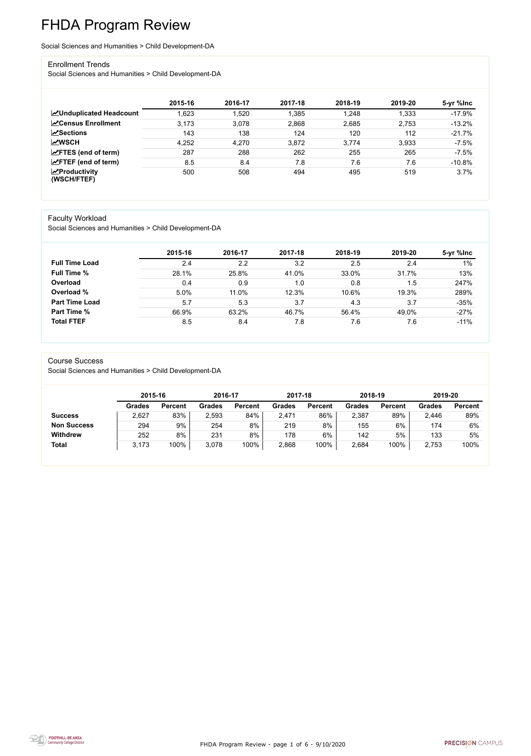FHDA Program Review - page 1 of 6 - 9/10/2020



# FHDA Program Review

Social Sciences and Humanities > Child Development-DA

#### Enrollment Trends

Social Sciences and Humanities > Child Development-DA

|                                                  | 2015-16 | 2016-17 | 2017-18 | 2018-19 | 2019-20 | 5-yr %lnc |
|--------------------------------------------------|---------|---------|---------|---------|---------|-----------|
| <b>ZUnduplicated Headcount</b>                   | .623    | ,520    | 1,385   | 1,248   | 1,333   | $-17.9%$  |
| <b>∠</b> Census Enrollment                       | 3,173   | 3,078   | 2,868   | 2,685   | 2,753   | $-13.2%$  |
| <b>ZSections</b>                                 | 143     | 138     | 124     | 120     | 112     | $-21.7%$  |
| <b>MWSCH</b>                                     | 4,252   | 4,270   | 3,872   | 3,774   | 3,933   | $-7.5%$   |
| $\angle$ FTES (end of term)                      | 287     | 288     | 262     | 255     | 265     | $-7.5%$   |
| $\angle$ FTEF (end of term)                      | 8.5     | 8.4     | 7.8     | 7.6     | 7.6     | $-10.8%$  |
| $\sqrt{\frac{1}{2}}$ Productivity<br>(WSCH/FTEF) | 500     | 508     | 494     | 495     | 519     | 3.7%      |

### Faculty Workload

Social Sciences and Humanities > Child Development-DA

|                       | 2015-16 | 2016-17 | 2017-18 | 2018-19 | 2019-20 | 5-yr %lnc |
|-----------------------|---------|---------|---------|---------|---------|-----------|
| <b>Full Time Load</b> | 2.4     | 2.2     | 3.2     | 2.5     | 2.4     | $1\%$     |
| <b>Full Time %</b>    | 28.1%   | 25.8%   | 41.0%   | 33.0%   | 31.7%   | 13%       |
| Overload              | 0.4     | 0.9     | 1.0     | 0.8     | 1.5     | 247%      |
| Overload %            | 5.0%    | 11.0%   | 12.3%   | 10.6%   | 19.3%   | 289%      |
| <b>Part Time Load</b> | 5.7     | 5.3     | 3.7     | 4.3     | 3.7     | $-35%$    |
| <b>Part Time %</b>    | 66.9%   | 63.2%   | 46.7%   | 56.4%   | 49.0%   | $-27%$    |
| <b>Total FTEF</b>     | 8.5     | 8.4     | 7.8     | 7.6     | 7.6     | $-11%$    |

#### Course Success

Social Sciences and Humanities > Child Development-DA

|                    | 2015-16       |                | 2016-17 |                | 2017-18 |                | 2018-19       |                | 2019-20       |                |
|--------------------|---------------|----------------|---------|----------------|---------|----------------|---------------|----------------|---------------|----------------|
|                    | <b>Grades</b> | <b>Percent</b> | Grades  | <b>Percent</b> | Grades  | <b>Percent</b> | <b>Grades</b> | <b>Percent</b> | <b>Grades</b> | <b>Percent</b> |
| <b>Success</b>     | 2,627         | 83%            | 2,593   | 84%            | 2,471   | 86%            | 2,387         | 89%            | 2,446         | 89%            |
| <b>Non Success</b> | 294           | 9%             | 254     | 8%             | 219     | 8%             | 155           | 6%             | 174           | 6%             |
| <b>Withdrew</b>    | 252           | 8%             | 231     | 8%             | 178     | 6%             | 142           | 5%             | 133           | 5%             |
| <b>Total</b>       | 3.173         | 100%           | 3,078   | 100%           | 2,868   | 100%           | 2,684         | 100%           | 2,753         | 100%           |

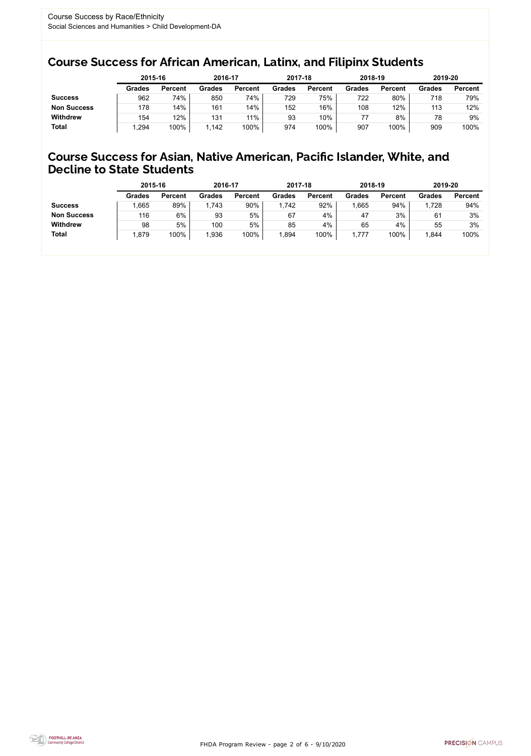FHDA Program Review - page 2 of 6 - 9/10/2020



### Course Success for African American, Latinx, and Filipinx Students

### Course Success for Asian, Native American, Pacific Islander, White, and Decline to State Students

|                    | 2015-16       |                | 2016-17       |                | 2017-18       |                | 2018-19       |                | 2019-20       |                |
|--------------------|---------------|----------------|---------------|----------------|---------------|----------------|---------------|----------------|---------------|----------------|
|                    | <b>Grades</b> | <b>Percent</b> | <b>Grades</b> | <b>Percent</b> | <b>Grades</b> | <b>Percent</b> | <b>Grades</b> | <b>Percent</b> | <b>Grades</b> | <b>Percent</b> |
| <b>Success</b>     | 962           | 74%            | 850           | 74%            | 729           | 75%            | 722           | 80%            | 718           | 79%            |
| <b>Non Success</b> | 178           | 14%            | 161           | 14%            | 152           | 16%            | 108           | 12%            | 113           | 12%            |
| <b>Withdrew</b>    | 154           | 12%            | 131           | 11%            | 93            | 10%            |               | 8%             | 78            | 9%             |
| <b>Total</b>       | .294          | 100%           | 1,142         | 100%           | 974           | 100%           | 907           | 100%           | 909           | 100%           |

|                    | 2015-16       |                | 2016-17       |                | 2017-18       |                | 2018-19       |                | 2019-20 |                |
|--------------------|---------------|----------------|---------------|----------------|---------------|----------------|---------------|----------------|---------|----------------|
|                    | <b>Grades</b> | <b>Percent</b> | <b>Grades</b> | <b>Percent</b> | <b>Grades</b> | <b>Percent</b> | <b>Grades</b> | <b>Percent</b> | Grades  | <b>Percent</b> |
| <b>Success</b>     | .665          | 89%            | 1,743         | 90%            | 1,742         | 92%            | ,665          | 94%            | 1,728   | 94%            |
| <b>Non Success</b> | 116           | 6%             | 93            | 5%             | 67            | 4%             | 47            | 3%             | 61      | 3%             |
| <b>Withdrew</b>    | 98            | 5%             | 100           | 5%             | 85            | 4%             | 65            | 4%             | 55      | 3%             |
| <b>Total</b>       | 1,879         | 100%           | 1,936         | 100%           | ,894          | 100%           | ,777          | 100%           | ,844    | 100%           |
|                    |               |                |               |                |               |                |               |                |         |                |

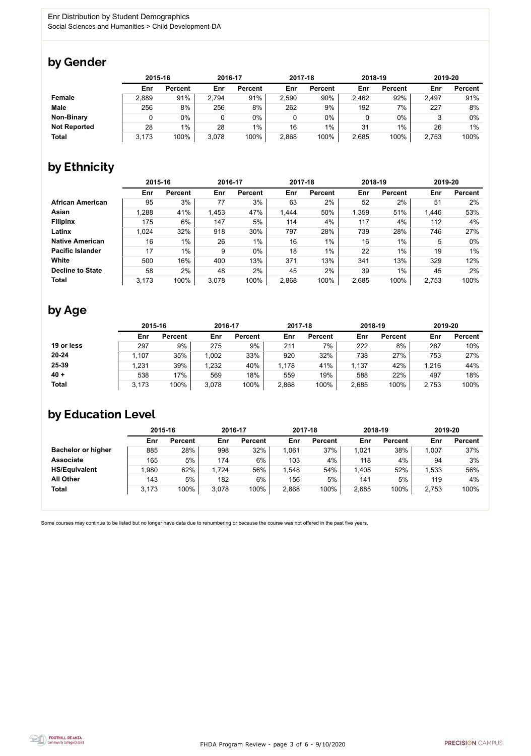FHDA Program Review - page 3 of 6 - 9/10/2020



Some courses may continue to be listed but no longer have data due to renumbering or because the course was not offered in the past five years.



### by Gender

|                     | 2015-16 |                |       | 2016-17        |       | 2017-18        |       | 2018-19        |       | 2019-20        |  |
|---------------------|---------|----------------|-------|----------------|-------|----------------|-------|----------------|-------|----------------|--|
|                     | Enr     | <b>Percent</b> | Enr   | <b>Percent</b> | Enr   | <b>Percent</b> | Enr   | <b>Percent</b> | Enr   | <b>Percent</b> |  |
| Female              | 2,889   | 91%            | 2,794 | 91%            | 2,590 | 90%            | 2,462 | 92%            | 2,497 | 91%            |  |
| <b>Male</b>         | 256     | 8%             | 256   | 8%             | 262   | 9%             | 192   | 7%             | 227   | 8%             |  |
| <b>Non-Binary</b>   |         | 0%             |       | 0%             |       | 0%             |       | $0\%$          |       | 0%             |  |
| <b>Not Reported</b> | 28      | $1\%$          | 28    | $1\%$          | 16    | 1%             | 31    | $1\%$          | 26    | 1%             |  |
| <b>Total</b>        | 3.173   | 100%           | 3,078 | 100%           | 2,868 | 100%           | 2,685 | 100%           | 2,753 | 100%           |  |

## by Ethnicity

|                         | 2015-16 |                | 2016-17 |                | 2017-18 |                | 2018-19 |                | 2019-20 |                |
|-------------------------|---------|----------------|---------|----------------|---------|----------------|---------|----------------|---------|----------------|
|                         | Enr     | <b>Percent</b> | Enr     | <b>Percent</b> | Enr     | <b>Percent</b> | Enr     | <b>Percent</b> | Enr     | <b>Percent</b> |
| <b>African American</b> | 95      | 3%             | 77      | 3%             | 63      | 2%             | 52      | 2%             | 51      | $2\%$          |
| <b>Asian</b>            | 1,288   | 41%            | 1,453   | 47%            | 1,444   | 50%            | 1,359   | 51%            | 1,446   | 53%            |
| <b>Filipinx</b>         | 175     | 6%             | 147     | 5%             | 114     | 4%             | 117     | 4%             | 112     | 4%             |
| Latinx                  | 1,024   | 32%            | 918     | 30%            | 797     | 28%            | 739     | 28%            | 746     | 27%            |
| <b>Native American</b>  | 16      | $1\%$          | 26      | $1\%$          | 16      | $1\%$          | 16      | $1\%$          | 5       | $0\%$          |
| <b>Pacific Islander</b> | 17      | $1\%$          | 9       | $0\%$          | 18      | $1\%$          | 22      | 1%             | 19      | $1\%$          |
| <b>White</b>            | 500     | 16%            | 400     | 13%            | 371     | 13%            | 341     | 13%            | 329     | 12%            |
| <b>Decline to State</b> | 58      | 2%             | 48      | 2%             | 45      | 2%             | 39      | $1\%$          | 45      | 2%             |
| <b>Total</b>            | 3,173   | 100%           | 3,078   | 100%           | 2,868   | 100%           | 2,685   | 100%           | 2,753   | 100%           |

### by Age

|              |       | 2015-16        |       | 2016-17        |       | 2017-18        |       | 2018-19        | 2019-20 |                |
|--------------|-------|----------------|-------|----------------|-------|----------------|-------|----------------|---------|----------------|
|              | Enr   | <b>Percent</b> | Enr   | <b>Percent</b> | Enr   | <b>Percent</b> | Enr   | <b>Percent</b> | Enr     | <b>Percent</b> |
| 19 or less   | 297   | 9%             | 275   | 9%             | 211   | 7%             | 222   | 8%             | 287     | 10%            |
| $20 - 24$    | .107  | 35%            | 1,002 | 33%            | 920   | 32%            | 738   | 27%            | 753     | 27%            |
| 25-39        | ,231  | 39%            | 1,232 | 40%            | 1,178 | 41%            | 1,137 | 42%            | 1,216   | 44%            |
| $40 +$       | 538   | 17%            | 569   | 18%            | 559   | 19%            | 588   | 22%            | 497     | 18%            |
| <b>Total</b> | 3,173 | 100%           | 3,078 | 100%           | 2,868 | 100%           | 2,685 | 100%           | 2,753   | 100%           |

### by Education Level

|                           | 2015-16 |                |       | 2016-17        |       | 2017-18        | 2018-19 |                | 2019-20 |                |
|---------------------------|---------|----------------|-------|----------------|-------|----------------|---------|----------------|---------|----------------|
|                           | Enr     | <b>Percent</b> | Enr   | <b>Percent</b> | Enr   | <b>Percent</b> | Enr     | <b>Percent</b> | Enr     | <b>Percent</b> |
| <b>Bachelor or higher</b> | 885     | 28%            | 998   | 32%            | 1,061 | 37%            | .021    | 38%            | 1,007   | 37%            |
| <b>Associate</b>          | 165     | 5%             | 174   | $6\%$          | 103   | 4%             | 118     | 4%             | 94      | 3%             |
| <b>HS/Equivalent</b>      | .980    | 62%            | 1,724 | 56%            | .548  | 54%            | 1,405   | 52%            | 1,533   | 56%            |
| <b>All Other</b>          | 143     | 5%             | 182   | $6\%$          | 156   | 5%             | 141     | 5%             | 119     | 4%             |
| <b>Total</b>              | 3.173   | 100%           | 3,078 | 100%           | 2,868 | 100%           | 2,685   | 100%           | 2,753   | 100%           |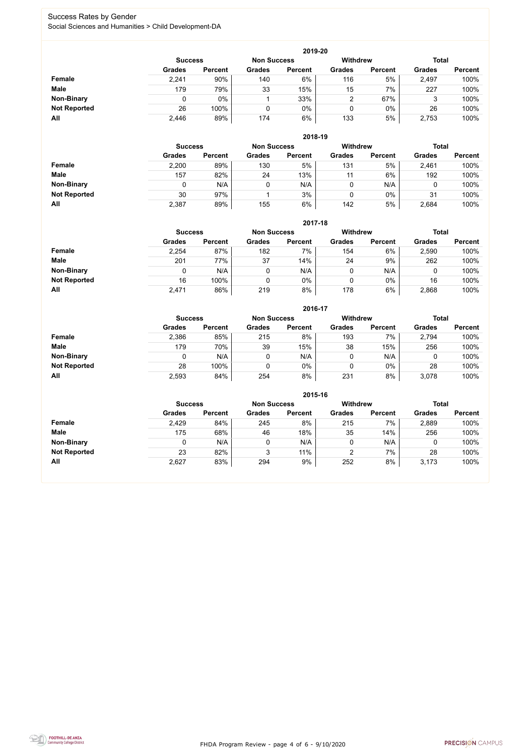FHDA Program Review - page 4 of 6 - 9/10/2020



### Success Rates by Gender Social Sciences and Humanities > Child Development-DA

|                     |                | 2019-20        |                    |                |                 |                |               |                |  |  |  |  |  |
|---------------------|----------------|----------------|--------------------|----------------|-----------------|----------------|---------------|----------------|--|--|--|--|--|
|                     | <b>Success</b> |                | <b>Non Success</b> |                | <b>Withdrew</b> |                | <b>Total</b>  |                |  |  |  |  |  |
|                     | <b>Grades</b>  | <b>Percent</b> | <b>Grades</b>      | <b>Percent</b> | <b>Grades</b>   | <b>Percent</b> | <b>Grades</b> | <b>Percent</b> |  |  |  |  |  |
| Female              | 2,241          | 90%            | 140                | 6%             | 116             | 5%             | 2,497         | 100%           |  |  |  |  |  |
| <b>Male</b>         | 179            | 79%            | 33                 | 15%            | 15              | 7%             | 227           | 100%           |  |  |  |  |  |
| <b>Non-Binary</b>   |                | $0\%$          |                    | 33%            | っ               | 67%            | 3             | 100%           |  |  |  |  |  |
| <b>Not Reported</b> | 26             | 100%           |                    | $0\%$          |                 | $0\%$          | 26            | 100%           |  |  |  |  |  |
| All                 | 2,446          | 89%            | 174                | 6%             | 133             | 5%             | 2,753         | 100%           |  |  |  |  |  |

|                     |               | 2018-19                              |               |                |               |                 |               |                |  |  |  |  |  |  |
|---------------------|---------------|--------------------------------------|---------------|----------------|---------------|-----------------|---------------|----------------|--|--|--|--|--|--|
|                     |               | <b>Non Success</b><br><b>Success</b> |               |                |               | <b>Withdrew</b> | <b>Total</b>  |                |  |  |  |  |  |  |
|                     | <b>Grades</b> | <b>Percent</b>                       | <b>Grades</b> | <b>Percent</b> | <b>Grades</b> | <b>Percent</b>  | <b>Grades</b> | <b>Percent</b> |  |  |  |  |  |  |
| Female              | 2,200         | 89%                                  | 130           | 5%             | 131           | 5%              | 2,461         | 100%           |  |  |  |  |  |  |
| <b>Male</b>         | 157           | 82%                                  | 24            | 13%            | 11            | 6%              | 192           | 100%           |  |  |  |  |  |  |
| <b>Non-Binary</b>   | 0             | N/A                                  |               | N/A            | v             | N/A             | U             | 100%           |  |  |  |  |  |  |
| <b>Not Reported</b> | 30            | 97%                                  |               | 3%             | 0             | $0\%$           | 31            | 100%           |  |  |  |  |  |  |
| All                 | 2,387         | 89%                                  | 155           | 6%             | 142           | 5%              | 2,684         | 100%           |  |  |  |  |  |  |

|                     |               | 2017-18                                                                 |               |                |               |                |               |                |  |  |  |  |  |  |
|---------------------|---------------|-------------------------------------------------------------------------|---------------|----------------|---------------|----------------|---------------|----------------|--|--|--|--|--|--|
|                     |               | <b>Withdrew</b><br><b>Total</b><br><b>Non Success</b><br><b>Success</b> |               |                |               |                |               |                |  |  |  |  |  |  |
|                     | <b>Grades</b> | <b>Percent</b>                                                          | <b>Grades</b> | <b>Percent</b> | <b>Grades</b> | <b>Percent</b> | <b>Grades</b> | <b>Percent</b> |  |  |  |  |  |  |
| Female              | 2,254         | 87%                                                                     | 182           | 7%             | 154           | 6%             | 2,590         | 100%           |  |  |  |  |  |  |
| <b>Male</b>         | 201           | 77%                                                                     | 37            | 14%            | 24            | 9%             | 262           | 100%           |  |  |  |  |  |  |
| <b>Non-Binary</b>   | 0             | N/A                                                                     |               | N/A            | 0             | N/A            | 0             | 100%           |  |  |  |  |  |  |
| <b>Not Reported</b> | 16            | 100%                                                                    |               | $0\%$          | 0             | $0\%$          | 16            | 100%           |  |  |  |  |  |  |
| All                 | 2,471         | 86%                                                                     | 219           | 8%             | 178           | 6%             | 2,868         | 100%           |  |  |  |  |  |  |

|                     |               | 2016-17                              |               |                |                 |                |               |                |  |  |
|---------------------|---------------|--------------------------------------|---------------|----------------|-----------------|----------------|---------------|----------------|--|--|
|                     |               | <b>Non Success</b><br><b>Success</b> |               |                | <b>Withdrew</b> |                | <b>Total</b>  |                |  |  |
|                     | <b>Grades</b> | <b>Percent</b>                       | <b>Grades</b> | <b>Percent</b> | <b>Grades</b>   | <b>Percent</b> | <b>Grades</b> | <b>Percent</b> |  |  |
| <b>Female</b>       | 2,386         | 85%                                  | 215           | 8%             | 193             | 7%             | 2,794         | 100%           |  |  |
| <b>Male</b>         | 179           | 70%                                  | 39            | 15%            | 38              | 15%            | 256           | 100%           |  |  |
| <b>Non-Binary</b>   | 0             | N/A                                  |               | N/A            | 0               | N/A            | 0             | 100%           |  |  |
| <b>Not Reported</b> | 28            | 100%                                 |               | $0\%$          | 0               | $0\%$          | 28            | 100%           |  |  |
| All                 | 2,593         | 84%                                  | 254           | 8%             | 231             | 8%             | 3,078         | 100%           |  |  |

|                     |                                                         |                |               | 2015-16        |               |                |               |                |
|---------------------|---------------------------------------------------------|----------------|---------------|----------------|---------------|----------------|---------------|----------------|
|                     | <b>Withdrew</b><br><b>Non Success</b><br><b>Success</b> |                |               |                |               |                |               | <b>Total</b>   |
|                     | <b>Grades</b>                                           | <b>Percent</b> | <b>Grades</b> | <b>Percent</b> | <b>Grades</b> | <b>Percent</b> | <b>Grades</b> | <b>Percent</b> |
| <b>Female</b>       | 2,429                                                   | 84%            | 245           | 8%             | 215           | 7%             | 2,889         | 100%           |
| <b>Male</b>         | 175                                                     | 68%            | 46            | 18%            | 35            | 14%            | 256           | 100%           |
| <b>Non-Binary</b>   |                                                         | N/A            | 0             | N/A            |               | N/A            |               | 100%           |
| <b>Not Reported</b> | 23                                                      | 82%            | 2             | 11%            | 2             | 7%             | 28            | 100%           |
| All                 | 2,627                                                   | 83%            | 294           | 9%             | 252           | 8%             | 3,173         | 100%           |

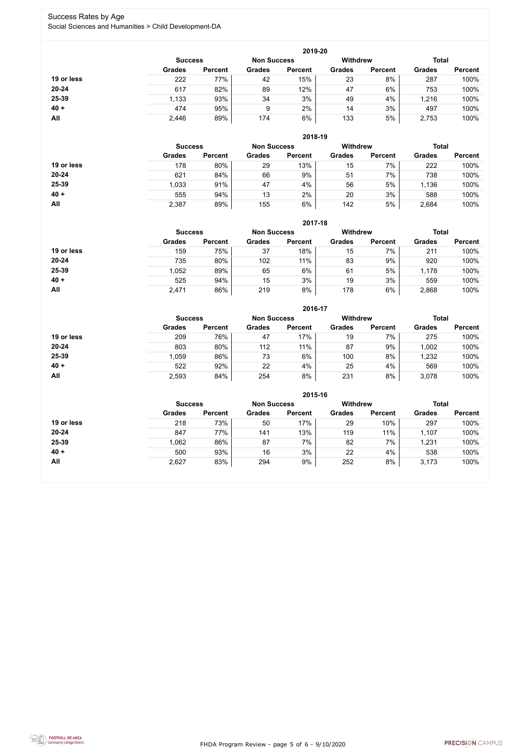FHDA Program Review - page 5 of 6 - 9/10/2020



### Success Rates by Age Social Sciences and Humanities > Child Development-DA

|            |                |                    |               | 2019-20         |               |                |               |                |
|------------|----------------|--------------------|---------------|-----------------|---------------|----------------|---------------|----------------|
|            | <b>Success</b> | <b>Non Success</b> |               | <b>Withdrew</b> |               | <b>Total</b>   |               |                |
|            | <b>Grades</b>  | <b>Percent</b>     | <b>Grades</b> | <b>Percent</b>  | <b>Grades</b> | <b>Percent</b> | <b>Grades</b> | <b>Percent</b> |
| 19 or less | 222            | 77%                | 42            | 15%             | 23            | 8%             | 287           | 100%           |
| $20 - 24$  | 617            | 82%                | 89            | 12%             | 47            | 6%             | 753           | 100%           |
| 25-39      | 1,133          | 93%                | 34            | 3%              | 49            | 4%             | 1,216         | 100%           |
| $40 +$     | 474            | 95%                | 9             | 2%              | 14            | 3%             | 497           | 100%           |
| All        | 2,446          | 89%                | 174           | 6%              | 133           | 5%             | 2,753         | 100%           |

|            |                |                    |               | 2018-19         |               |                |               |                |
|------------|----------------|--------------------|---------------|-----------------|---------------|----------------|---------------|----------------|
|            | <b>Success</b> | <b>Non Success</b> |               | <b>Withdrew</b> |               | <b>Total</b>   |               |                |
|            | <b>Grades</b>  | <b>Percent</b>     | <b>Grades</b> | <b>Percent</b>  | <b>Grades</b> | <b>Percent</b> | <b>Grades</b> | <b>Percent</b> |
| 19 or less | 178            | 80%                | 29            | 13%             | 15            | 7%             | 222           | 100%           |
| $20 - 24$  | 621            | 84%                | 66            | 9%              | 51            | 7%             | 738           | 100%           |
| 25-39      | 1,033          | 91%                | 47            | 4%              | 56            | 5%             | 1,136         | 100%           |
| $40 +$     | 555            | 94%                | 13            | 2%              | 20            | 3%             | 588           | 100%           |
| All        | 2,387          | 89%                | 155           | 6%              | 142           | 5%             | 2,684         | 100%           |

|            |                                      |                |               | 2017-18         |               |                |               |                |
|------------|--------------------------------------|----------------|---------------|-----------------|---------------|----------------|---------------|----------------|
|            | <b>Non Success</b><br><b>Success</b> |                |               | <b>Withdrew</b> |               | <b>Total</b>   |               |                |
|            | <b>Grades</b>                        | <b>Percent</b> | <b>Grades</b> | <b>Percent</b>  | <b>Grades</b> | <b>Percent</b> | <b>Grades</b> | <b>Percent</b> |
| 19 or less | 159                                  | 75%            | 37            | 18%             | 15            | 7%             | 211           | 100%           |
| 20-24      | 735                                  | 80%            | 102           | 11%             | 83            | 9%             | 920           | 100%           |
| 25-39      | 1,052                                | 89%            | 65            | $6\%$           | 61            | 5%             | 1,178         | 100%           |
| $40 +$     | 525                                  | 94%            | 15            | 3%              | 19            | 3%             | 559           | 100%           |
| <b>All</b> | 2,471                                | 86%            | 219           | 8%              | 178           | 6%             | 2,868         | 100%           |

|            |                |                    |               | 2016-17         |               |                |               |                |
|------------|----------------|--------------------|---------------|-----------------|---------------|----------------|---------------|----------------|
|            | <b>Success</b> | <b>Non Success</b> |               | <b>Withdrew</b> |               | <b>Total</b>   |               |                |
|            | <b>Grades</b>  | <b>Percent</b>     | <b>Grades</b> | <b>Percent</b>  | <b>Grades</b> | <b>Percent</b> | <b>Grades</b> | <b>Percent</b> |
| 19 or less | 209            | 76%                | 47            | 17%             | 19            | 7%             | 275           | 100%           |
| $20 - 24$  | 803            | 80%                | 112           | 11%             | 87            | 9%             | 1,002         | 100%           |
| 25-39      | 1,059          | 86%                | 73            | 6%              | 100           | 8%             | 1,232         | 100%           |
| $40 +$     | 522            | 92%                | 22            | 4%              | 25            | 4%             | 569           | 100%           |
| All        | 2,593          | 84%                | 254           | 8%              | 231           | 8%             | 3,078         | 100%           |

|            |                                      |                |               | 2015-16        |               |                 |               |                |
|------------|--------------------------------------|----------------|---------------|----------------|---------------|-----------------|---------------|----------------|
|            | <b>Non Success</b><br><b>Success</b> |                |               |                |               | <b>Withdrew</b> | <b>Total</b>  |                |
|            | <b>Grades</b>                        | <b>Percent</b> | <b>Grades</b> | <b>Percent</b> | <b>Grades</b> | <b>Percent</b>  | <b>Grades</b> | <b>Percent</b> |
| 19 or less | 218                                  | 73%            | 50            | 17%            | 29            | 10%             | 297           | 100%           |
| $20 - 24$  | 847                                  | 77%            | 141           | 13%            | 119           | 11%             | 1,107         | 100%           |
| 25-39      | 1,062                                | 86%            | 87            | 7%             | 82            | 7%              | 1,231         | 100%           |
| $40 +$     | 500                                  | 93%            | 16            | 3%             | 22            | 4%              | 538           | 100%           |
| All        | 2,627                                | 83%            | 294           | 9%             | 252           | 8%              | 3,173         | 100%           |